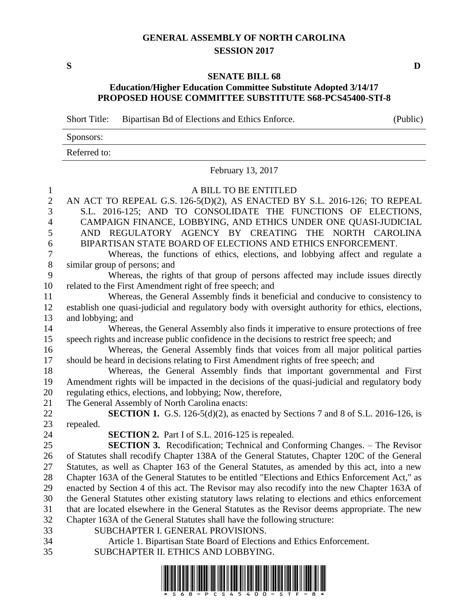## **GENERAL ASSEMBLY OF NORTH CAROLINA SESSION 2017**

**S D**

## **SENATE BILL 68 Education/Higher Education Committee Substitute Adopted 3/14/17 PROPOSED HOUSE COMMITTEE SUBSTITUTE S68-PCS45400-STf-8**

Short Title: Bipartisan Bd of Elections and Ethics Enforce. (Public)

| Sponsors:    |  |
|--------------|--|
| Referred to: |  |

February 13, 2017

## A BILL TO BE ENTITLED

| $\mathbf{2}$     | AN ACT TO REPEAL G.S. 126-5(D)(2), AS ENACTED BY S.L. 2016-126; TO REPEAL                        |
|------------------|--------------------------------------------------------------------------------------------------|
| 3                | S.L. 2016-125; AND TO CONSOLIDATE THE FUNCTIONS OF ELECTIONS,                                    |
| $\overline{4}$   | CAMPAIGN FINANCE, LOBBYING, AND ETHICS UNDER ONE QUASI-JUDICIAL                                  |
| 5                | AND REGULATORY AGENCY BY CREATING THE NORTH CAROLINA                                             |
| 6                | BIPARTISAN STATE BOARD OF ELECTIONS AND ETHICS ENFORCEMENT.                                      |
| $\boldsymbol{7}$ | Whereas, the functions of ethics, elections, and lobbying affect and regulate a                  |
| 8                | similar group of persons; and                                                                    |
| 9                | Whereas, the rights of that group of persons affected may include issues directly                |
| 10               | related to the First Amendment right of free speech; and                                         |
| 11               | Whereas, the General Assembly finds it beneficial and conducive to consistency to                |
| 12               | establish one quasi-judicial and regulatory body with oversight authority for ethics, elections, |
| 13               | and lobbying; and                                                                                |
| 14               | Whereas, the General Assembly also finds it imperative to ensure protections of free             |
| 15               | speech rights and increase public confidence in the decisions to restrict free speech; and       |
| 16               | Whereas, the General Assembly finds that voices from all major political parties                 |
| 17               | should be heard in decisions relating to First Amendment rights of free speech; and              |
| 18               | Whereas, the General Assembly finds that important governmental and First                        |
| 19               | Amendment rights will be impacted in the decisions of the quasi-judicial and regulatory body     |
| 20               | regulating ethics, elections, and lobbying; Now, therefore,                                      |
| 21               | The General Assembly of North Carolina enacts:                                                   |
| 22               | <b>SECTION 1.</b> G.S. 126-5(d)(2), as enacted by Sections 7 and 8 of S.L. 2016-126, is          |
| 23               | repealed.                                                                                        |
| 24               | <b>SECTION 2.</b> Part I of S.L. 2016-125 is repealed.                                           |
| 25               | <b>SECTION 3.</b> Recodification; Technical and Conforming Changes. - The Revisor                |
| 26               | of Statutes shall recodify Chapter 138A of the General Statutes, Chapter 120C of the General     |
| 27               | Statutes, as well as Chapter 163 of the General Statutes, as amended by this act, into a new     |
| 28               | Chapter 163A of the General Statutes to be entitled "Elections and Ethics Enforcement Act," as   |
| 29               | enacted by Section 4 of this act. The Revisor may also recodify into the new Chapter 163A of     |
| 30               | the General Statutes other existing statutory laws relating to elections and ethics enforcement  |
| 31               | that are located elsewhere in the General Statutes as the Revisor deems appropriate. The new     |
| 32               | Chapter 163A of the General Statutes shall have the following structure:                         |
| 33               | SUBCHAPTER I. GENERAL PROVISIONS.                                                                |
| 34               | Article 1. Bipartisan State Board of Elections and Ethics Enforcement.                           |

SUBCHAPTER II. ETHICS AND LOBBYING.

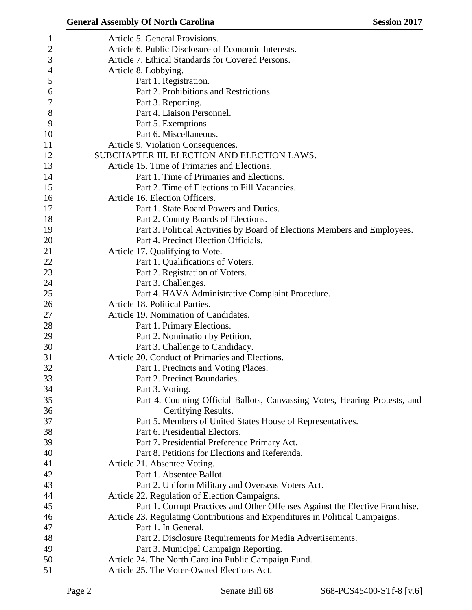|              | <b>General Assembly Of North Carolina</b><br><b>Session 2017</b>              |
|--------------|-------------------------------------------------------------------------------|
| $\mathbf{1}$ | Article 5. General Provisions.                                                |
| $\mathbf{2}$ | Article 6. Public Disclosure of Economic Interests.                           |
| 3            | Article 7. Ethical Standards for Covered Persons.                             |
| 4            | Article 8. Lobbying.                                                          |
| 5            | Part 1. Registration.                                                         |
| 6            | Part 2. Prohibitions and Restrictions.                                        |
| 7            | Part 3. Reporting.                                                            |
| $8\,$        | Part 4. Liaison Personnel.                                                    |
| 9            | Part 5. Exemptions.                                                           |
| 10           | Part 6. Miscellaneous.                                                        |
| 11           | Article 9. Violation Consequences.                                            |
| 12           | SUBCHAPTER III. ELECTION AND ELECTION LAWS.                                   |
| 13           | Article 15. Time of Primaries and Elections.                                  |
| 14           | Part 1. Time of Primaries and Elections.                                      |
| 15           | Part 2. Time of Elections to Fill Vacancies.                                  |
| 16           | Article 16. Election Officers.                                                |
| 17           | Part 1. State Board Powers and Duties.                                        |
| 18           | Part 2. County Boards of Elections.                                           |
| 19           | Part 3. Political Activities by Board of Elections Members and Employees.     |
| 20           | Part 4. Precinct Election Officials.                                          |
| 21           | Article 17. Qualifying to Vote.                                               |
| 22           | Part 1. Qualifications of Voters.                                             |
| 23           | Part 2. Registration of Voters.                                               |
| 24           | Part 3. Challenges.                                                           |
| 25           | Part 4. HAVA Administrative Complaint Procedure.                              |
| 26           | Article 18. Political Parties.                                                |
| 27           | Article 19. Nomination of Candidates.                                         |
| 28           | Part 1. Primary Elections.                                                    |
| 29           | Part 2. Nomination by Petition.                                               |
| 30           | Part 3. Challenge to Candidacy.                                               |
| 31           | Article 20. Conduct of Primaries and Elections.                               |
| 32           | Part 1. Precincts and Voting Places.                                          |
| 33           | Part 2. Precinct Boundaries.                                                  |
| 34           | Part 3. Voting.                                                               |
| 35           | Part 4. Counting Official Ballots, Canvassing Votes, Hearing Protests, and    |
| 36           | Certifying Results.                                                           |
| 37           | Part 5. Members of United States House of Representatives.                    |
| 38           | Part 6. Presidential Electors.                                                |
| 39           | Part 7. Presidential Preference Primary Act.                                  |
| 40           | Part 8. Petitions for Elections and Referenda.                                |
| 41           | Article 21. Absentee Voting.                                                  |
| 42           | Part 1. Absentee Ballot.                                                      |
| 43           | Part 2. Uniform Military and Overseas Voters Act.                             |
| 44           | Article 22. Regulation of Election Campaigns.                                 |
| 45           | Part 1. Corrupt Practices and Other Offenses Against the Elective Franchise.  |
| 46           | Article 23. Regulating Contributions and Expenditures in Political Campaigns. |
| 47           | Part 1. In General.                                                           |
| 48           | Part 2. Disclosure Requirements for Media Advertisements.                     |
| 49           | Part 3. Municipal Campaign Reporting.                                         |
| 50           | Article 24. The North Carolina Public Campaign Fund.                          |
| 51           | Article 25. The Voter-Owned Elections Act.                                    |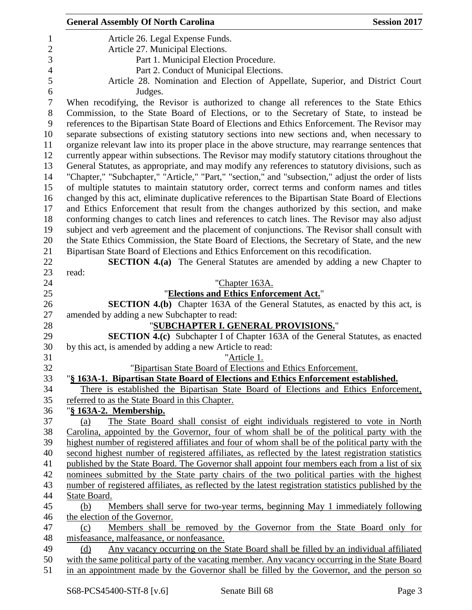|                | <b>General Assembly Of North Carolina</b><br><b>Session 2017</b>                                                                         |
|----------------|------------------------------------------------------------------------------------------------------------------------------------------|
| 1              | Article 26. Legal Expense Funds.                                                                                                         |
| $\overline{2}$ | Article 27. Municipal Elections.                                                                                                         |
| 3              | Part 1. Municipal Election Procedure.                                                                                                    |
| $\overline{4}$ | Part 2. Conduct of Municipal Elections.                                                                                                  |
| 5              | Article 28. Nomination and Election of Appellate, Superior, and District Court                                                           |
| 6              | Judges.                                                                                                                                  |
| 7              | When recodifying, the Revisor is authorized to change all references to the State Ethics                                                 |
| 8              | Commission, to the State Board of Elections, or to the Secretary of State, to instead be                                                 |
| 9              | references to the Bipartisan State Board of Elections and Ethics Enforcement. The Revisor may                                            |
| 10             | separate subsections of existing statutory sections into new sections and, when necessary to                                             |
| 11             | organize relevant law into its proper place in the above structure, may rearrange sentences that                                         |
| 12             | currently appear within subsections. The Revisor may modify statutory citations throughout the                                           |
| 13             | General Statutes, as appropriate, and may modify any references to statutory divisions, such as                                          |
| 14             | "Chapter," "Subchapter," "Article," "Part," "section," and "subsection," adjust the order of lists                                       |
| 15             | of multiple statutes to maintain statutory order, correct terms and conform names and titles                                             |
| 16             | changed by this act, eliminate duplicative references to the Bipartisan State Board of Elections                                         |
| 17             | and Ethics Enforcement that result from the changes authorized by this section, and make                                                 |
| 18             | conforming changes to catch lines and references to catch lines. The Revisor may also adjust                                             |
| 19             | subject and verb agreement and the placement of conjunctions. The Revisor shall consult with                                             |
| 20             | the State Ethics Commission, the State Board of Elections, the Secretary of State, and the new                                           |
| 21             | Bipartisan State Board of Elections and Ethics Enforcement on this recodification.                                                       |
| 22             | <b>SECTION 4.(a)</b> The General Statutes are amended by adding a new Chapter to                                                         |
| 23             | read:                                                                                                                                    |
| 24             | "Chapter 163A.                                                                                                                           |
| 25             | "Elections and Ethics Enforcement Act."                                                                                                  |
| 26<br>27       | <b>SECTION 4.(b)</b> Chapter 163A of the General Statutes, as enacted by this act, is<br>amended by adding a new Subchapter to read:     |
| 28             | "SUBCHAPTER I. GENERAL PROVISIONS."                                                                                                      |
| 29             | <b>SECTION 4.(c)</b> Subchapter I of Chapter 163A of the General Statutes, as enacted                                                    |
| 30             | by this act, is amended by adding a new Article to read:                                                                                 |
| 31             | "Article 1.                                                                                                                              |
| 32             | "Bipartisan State Board of Elections and Ethics Enforcement.                                                                             |
| 33             | "§ 163A-1. Bipartisan State Board of Elections and Ethics Enforcement established.                                                       |
| 34             | There is established the Bipartisan State Board of Elections and Ethics Enforcement,                                                     |
| 35             | referred to as the State Board in this Chapter.                                                                                          |
| 36             | " <u>§ 163A-2. Membership.</u>                                                                                                           |
| 37             | The State Board shall consist of eight individuals registered to vote in North<br>(a)                                                    |
| 38             | Carolina, appointed by the Governor, four of whom shall be of the political party with the                                               |
| 39             | highest number of registered affiliates and four of whom shall be of the political party with the                                        |
| 40             | second highest number of registered affiliates, as reflected by the latest registration statistics                                       |
| 41             | published by the State Board. The Governor shall appoint four members each from a list of six                                            |
| 42             | nominees submitted by the State party chairs of the two political parties with the highest                                               |
| 43             | number of registered affiliates, as reflected by the latest registration statistics published by the                                     |
| 44             | State Board.                                                                                                                             |
| 45             | Members shall serve for two-year terms, beginning May 1 immediately following<br>(b)                                                     |
| 46             | the election of the Governor.                                                                                                            |
| 47             | Members shall be removed by the Governor from the State Board only for<br>(c)                                                            |
| 48<br>49       | misfeasance, malfeasance, or nonfeasance.<br>Any vacancy occurring on the State Board shall be filled by an individual affiliated<br>(d) |
| 50             | with the same political party of the vacating member. Any vacancy occurring in the State Board                                           |
| 51             | in an appointment made by the Governor shall be filled by the Governor, and the person so                                                |
|                |                                                                                                                                          |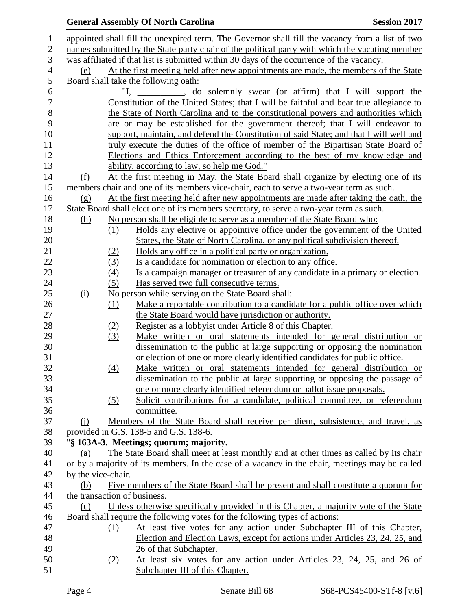|                  |                    |     | <b>General Assembly Of North Carolina</b>                                                                                | <b>Session 2017</b> |
|------------------|--------------------|-----|--------------------------------------------------------------------------------------------------------------------------|---------------------|
| $\mathbf 1$      |                    |     | appointed shall fill the unexpired term. The Governor shall fill the vacancy from a list of two                          |                     |
| $\mathbf{2}$     |                    |     | names submitted by the State party chair of the political party with which the vacating member                           |                     |
| 3                |                    |     | was affiliated if that list is submitted within 30 days of the occurrence of the vacancy.                                |                     |
| $\overline{4}$   | (e)                |     | At the first meeting held after new appointments are made, the members of the State                                      |                     |
| $\mathfrak{S}$   |                    |     | Board shall take the following oath:                                                                                     |                     |
| 6                |                    |     | do solemnly swear (or affirm) that I will support the                                                                    |                     |
| $\boldsymbol{7}$ |                    |     | Constitution of the United States; that I will be faithful and bear true allegiance to                                   |                     |
| 8                |                    |     | the State of North Carolina and to the constitutional powers and authorities which                                       |                     |
| 9                |                    |     | are or may be established for the government thereof; that I will endeavor to                                            |                     |
| 10               |                    |     | support, maintain, and defend the Constitution of said State; and that I will well and                                   |                     |
| 11               |                    |     | truly execute the duties of the office of member of the Bipartisan State Board of                                        |                     |
| 12               |                    |     | Elections and Ethics Enforcement according to the best of my knowledge and                                               |                     |
| 13               |                    |     | ability, according to law, so help me God."                                                                              |                     |
| 14               | <u>(f)</u>         |     | At the first meeting in May, the State Board shall organize by electing one of its                                       |                     |
| 15               |                    |     | members chair and one of its members vice-chair, each to serve a two-year term as such.                                  |                     |
| 16               | (g)                |     | At the first meeting held after new appointments are made after taking the oath, the                                     |                     |
| 17               |                    |     | State Board shall elect one of its members secretary, to serve a two-year term as such.                                  |                     |
| 18               | <u>(h)</u>         |     | No person shall be eligible to serve as a member of the State Board who:                                                 |                     |
| 19               |                    | (1) | Holds any elective or appointive office under the government of the United                                               |                     |
| 20               |                    |     | States, the State of North Carolina, or any political subdivision thereof.                                               |                     |
| 21               |                    | (2) | <u>Holds any office in a political party or organization.</u>                                                            |                     |
| 22               |                    | (3) | Is a candidate for nomination or election to any office.                                                                 |                     |
| 23               |                    | (4) | Is a campaign manager or treasurer of any candidate in a primary or election.                                            |                     |
| 24               |                    | (5) | Has served two full consecutive terms.                                                                                   |                     |
| 25               | (i)                |     | No person while serving on the State Board shall:                                                                        |                     |
| 26               |                    | (1) | Make a reportable contribution to a candidate for a public office over which                                             |                     |
| 27               |                    |     | the State Board would have jurisdiction or authority.                                                                    |                     |
| 28               |                    | (2) | Register as a lobbyist under Article 8 of this Chapter.                                                                  |                     |
| 29               |                    | (3) | Make written or oral statements intended for general distribution or                                                     |                     |
| 30               |                    |     | dissemination to the public at large supporting or opposing the nomination                                               |                     |
| 31               |                    |     | or election of one or more clearly identified candidates for public office.                                              |                     |
| 32               |                    | (4) | Make written or oral statements intended for general distribution or                                                     |                     |
| 33               |                    |     | dissemination to the public at large supporting or opposing the passage of                                               |                     |
| 34               |                    |     | one or more clearly identified referendum or ballot issue proposals.                                                     |                     |
| 35               |                    | (5) | Solicit contributions for a candidate, political committee, or referendum                                                |                     |
| 36               |                    |     | committee.                                                                                                               |                     |
| 37<br>38         | $\Omega$           |     | Members of the State Board shall receive per diem, subsistence, and travel, as<br>provided in G.S. 138-5 and G.S. 138-6. |                     |
| 39               |                    |     | "§ 163A-3. Meetings; quorum; majority.                                                                                   |                     |
| 40               | (a)                |     | The State Board shall meet at least monthly and at other times as called by its chair                                    |                     |
| 41               |                    |     | or by a majority of its members. In the case of a vacancy in the chair, meetings may be called                           |                     |
| 42               | by the vice-chair. |     |                                                                                                                          |                     |
| 43               | (b)                |     | Five members of the State Board shall be present and shall constitute a quorum for                                       |                     |
| 44               |                    |     | the transaction of business.                                                                                             |                     |
| 45               | (c)                |     | Unless otherwise specifically provided in this Chapter, a majority vote of the State                                     |                     |
| 46               |                    |     | Board shall require the following votes for the following types of actions:                                              |                     |
| 47               |                    | (1) | At least five votes for any action under Subchapter III of this Chapter,                                                 |                     |
| 48               |                    |     | Election and Election Laws, except for actions under Articles 23, 24, 25, and                                            |                     |
| 49               |                    |     | 26 of that Subchapter.                                                                                                   |                     |
| 50               |                    | (2) | At least six votes for any action under Articles 23, 24, 25, and 26 of                                                   |                     |
| 51               |                    |     | Subchapter III of this Chapter.                                                                                          |                     |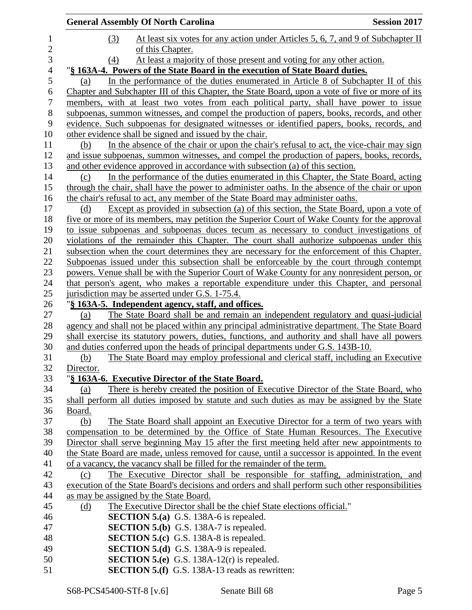|                          | <b>General Assembly Of North Carolina</b>                                                                                                                                              | <b>Session 2017</b> |
|--------------------------|----------------------------------------------------------------------------------------------------------------------------------------------------------------------------------------|---------------------|
| $\mathbf{1}$             | At least six votes for any action under Articles 5, 6, 7, and 9 of Subchapter II<br>(3)                                                                                                |                     |
| $\overline{c}$           | of this Chapter.                                                                                                                                                                       |                     |
| $\mathfrak{Z}$           | At least a majority of those present and voting for any other action.<br>(4)                                                                                                           |                     |
| $\overline{\mathcal{A}}$ | "§ 163A-4. Powers of the State Board in the execution of State Board duties.                                                                                                           |                     |
| 5                        | In the performance of the duties enumerated in Article 8 of Subchapter II of this<br>(a)                                                                                               |                     |
| 6                        | Chapter and Subchapter III of this Chapter, the State Board, upon a vote of five or more of its                                                                                        |                     |
| $\boldsymbol{7}$         | members, with at least two votes from each political party, shall have power to issue                                                                                                  |                     |
| $8\,$                    | subpoenas, summon witnesses, and compel the production of papers, books, records, and other                                                                                            |                     |
| 9                        | evidence. Such subpoenas for designated witnesses or identified papers, books, records, and                                                                                            |                     |
| 10                       | other evidence shall be signed and issued by the chair.                                                                                                                                |                     |
| 11                       | In the absence of the chair or upon the chair's refusal to act, the vice-chair may sign<br>(b)                                                                                         |                     |
| 12                       | and issue subpoenas, summon witnesses, and compel the production of papers, books, records,                                                                                            |                     |
| 13                       | and other evidence approved in accordance with subsection (a) of this section.                                                                                                         |                     |
| 14                       | In the performance of the duties enumerated in this Chapter, the State Board, acting<br>(c)                                                                                            |                     |
| 15                       | through the chair, shall have the power to administer oaths. In the absence of the chair or upon                                                                                       |                     |
| 16                       | the chair's refusal to act, any member of the State Board may administer oaths.                                                                                                        |                     |
| 17                       | Except as provided in subsection (a) of this section, the State Board, upon a vote of<br>(d)                                                                                           |                     |
| 18<br>19                 | five or more of its members, may petition the Superior Court of Wake County for the approval<br>to issue subpoenas and subpoenas duces tecum as necessary to conduct investigations of |                     |
| 20                       | violations of the remainder this Chapter. The court shall authorize subpoenas under this                                                                                               |                     |
| 21                       | subsection when the court determines they are necessary for the enforcement of this Chapter.                                                                                           |                     |
| 22                       | Subpoenas issued under this subsection shall be enforceable by the court through contempt                                                                                              |                     |
| 23                       | powers. Venue shall be with the Superior Court of Wake County for any nonresident person, or                                                                                           |                     |
| 24                       | that person's agent, who makes a reportable expenditure under this Chapter, and personal                                                                                               |                     |
| 25                       | jurisdiction may be asserted under G.S. 1-75.4.                                                                                                                                        |                     |
| 26                       | "§ 163A-5. Independent agency, staff, and offices.                                                                                                                                     |                     |
| 27                       | The State Board shall be and remain an independent regulatory and quasi-judicial<br>(a)                                                                                                |                     |
| 28                       | agency and shall not be placed within any principal administrative department. The State Board                                                                                         |                     |
| 29                       | shall exercise its statutory powers, duties, functions, and authority and shall have all powers                                                                                        |                     |
| 30                       | and duties conferred upon the heads of principal departments under G.S. 143B-10.                                                                                                       |                     |
| 31                       | The State Board may employ professional and clerical staff, including an Executive<br>(b)                                                                                              |                     |
| 32                       | Director.                                                                                                                                                                              |                     |
| 33                       | "§ 163A-6. Executive Director of the State Board.                                                                                                                                      |                     |
| 34                       | There is hereby created the position of Executive Director of the State Board, who<br>(a)                                                                                              |                     |
| 35                       | shall perform all duties imposed by statute and such duties as may be assigned by the State                                                                                            |                     |
| 36                       | Board.                                                                                                                                                                                 |                     |
| 37                       | (b)<br>The State Board shall appoint an Executive Director for a term of two years with<br>compensation to be determined by the Office of State Human Resources. The Executive         |                     |
| 38<br>39                 | Director shall serve beginning May 15 after the first meeting held after new appointments to                                                                                           |                     |
| 40                       | the State Board are made, unless removed for cause, until a successor is appointed. In the event                                                                                       |                     |
| 41                       | of a vacancy, the vacancy shall be filled for the remainder of the term.                                                                                                               |                     |
| 42                       | The Executive Director shall be responsible for staffing, administration, and<br>(c)                                                                                                   |                     |
| 43                       | execution of the State Board's decisions and orders and shall perform such other responsibilities                                                                                      |                     |
| 44                       | as may be assigned by the State Board.                                                                                                                                                 |                     |
| 45                       | The Executive Director shall be the chief State elections official."<br><u>(d)</u>                                                                                                     |                     |
| 46                       | <b>SECTION 5.(a)</b> G.S. 138A-6 is repealed.                                                                                                                                          |                     |
| 47                       | <b>SECTION 5.(b)</b> G.S. 138A-7 is repealed.                                                                                                                                          |                     |
| 48                       | <b>SECTION 5.(c)</b> G.S. 138A-8 is repealed.                                                                                                                                          |                     |
| 49                       | <b>SECTION 5.(d)</b> G.S. 138A-9 is repealed.                                                                                                                                          |                     |
| 50                       | <b>SECTION 5.(e)</b> G.S. 138A-12(r) is repealed.                                                                                                                                      |                     |
| 51                       | <b>SECTION 5.(f)</b> G.S. 138A-13 reads as rewritten:                                                                                                                                  |                     |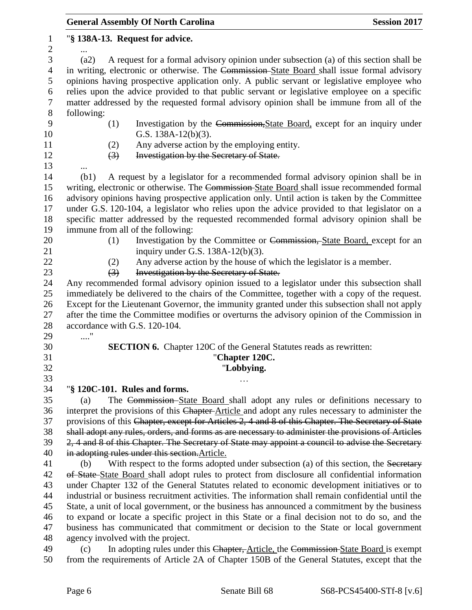|                   | <b>General Assembly Of North Carolina</b><br><b>Session 2017</b>                                                                                                                                  |
|-------------------|---------------------------------------------------------------------------------------------------------------------------------------------------------------------------------------------------|
| 1<br>$\mathbf{2}$ | "§ 138A-13. Request for advice.                                                                                                                                                                   |
| 3                 | A request for a formal advisory opinion under subsection (a) of this section shall be<br>(a2)                                                                                                     |
| $\overline{4}$    | in writing, electronic or otherwise. The Commission-State Board shall issue formal advisory                                                                                                       |
| 5                 | opinions having prospective application only. A public servant or legislative employee who                                                                                                        |
| 6                 | relies upon the advice provided to that public servant or legislative employee on a specific                                                                                                      |
| $\tau$            | matter addressed by the requested formal advisory opinion shall be immune from all of the                                                                                                         |
| $8\,$             | following:                                                                                                                                                                                        |
| 9                 | (1)<br>Investigation by the Commission, State Board, except for an inquiry under                                                                                                                  |
| 10                | G.S. $138A-12(b)(3)$ .                                                                                                                                                                            |
| 11                | Any adverse action by the employing entity.<br>(2)                                                                                                                                                |
| 12                | Investigation by the Secretary of State.<br>$\left(3\right)$                                                                                                                                      |
| 13                |                                                                                                                                                                                                   |
| 14                | A request by a legislator for a recommended formal advisory opinion shall be in<br>(b1)                                                                                                           |
| 15                | writing, electronic or otherwise. The Commission-State Board shall issue recommended formal                                                                                                       |
| 16                | advisory opinions having prospective application only. Until action is taken by the Committee                                                                                                     |
| 17                | under G.S. 120-104, a legislator who relies upon the advice provided to that legislator on a                                                                                                      |
| 18                | specific matter addressed by the requested recommended formal advisory opinion shall be                                                                                                           |
| 19                | immune from all of the following:                                                                                                                                                                 |
| 20                | Investigation by the Committee or Commission, State Board, except for an<br>(1)                                                                                                                   |
| 21                | inquiry under G.S. $138A-12(b)(3)$ .                                                                                                                                                              |
| 22<br>23          | Any adverse action by the house of which the legislator is a member.<br>(2)<br>Investigation by the Secretary of State.<br>$\left(3\right)$                                                       |
| 24                | Any recommended formal advisory opinion issued to a legislator under this subsection shall                                                                                                        |
| 25                | immediately be delivered to the chairs of the Committee, together with a copy of the request.                                                                                                     |
| 26                | Except for the Lieutenant Governor, the immunity granted under this subsection shall not apply                                                                                                    |
| 27                | after the time the Committee modifies or overturns the advisory opinion of the Commission in                                                                                                      |
| 28                | accordance with G.S. 120-104.                                                                                                                                                                     |
| 29                | $\ldots$ "                                                                                                                                                                                        |
| 30                | <b>SECTION 6.</b> Chapter 120C of the General Statutes reads as rewritten:                                                                                                                        |
| 31                | "Chapter 120C.                                                                                                                                                                                    |
| 32                | "Lobbying.                                                                                                                                                                                        |
| 33                |                                                                                                                                                                                                   |
| 34                | "§ 120C-101. Rules and forms.                                                                                                                                                                     |
| 35                | The Commission-State Board shall adopt any rules or definitions necessary to<br>(a)                                                                                                               |
| 36                | interpret the provisions of this Chapter-Article and adopt any rules necessary to administer the                                                                                                  |
| 37                | provisions of this Chapter, except for Articles 2, 4 and 8 of this Chapter. The Secretary of State                                                                                                |
| 38                | shall adopt any rules, orders, and forms as are necessary to administer the provisions of Articles                                                                                                |
| 39                | 2, 4 and 8 of this Chapter. The Secretary of State may appoint a council to advise the Secretary                                                                                                  |
| 40                | in adopting rules under this section. Article.                                                                                                                                                    |
| 41                | With respect to the forms adopted under subsection (a) of this section, the Secretary<br>(b)                                                                                                      |
| 42<br>43          | of State-State Board shall adopt rules to protect from disclosure all confidential information                                                                                                    |
| 44                | under Chapter 132 of the General Statutes related to economic development initiatives or to<br>industrial or business recruitment activities. The information shall remain confidential until the |
| 45                | State, a unit of local government, or the business has announced a commitment by the business                                                                                                     |
| 46                | to expand or locate a specific project in this State or a final decision not to do so, and the                                                                                                    |
| 47                | business has communicated that commitment or decision to the State or local government                                                                                                            |
| 48                | agency involved with the project.                                                                                                                                                                 |
| 49                | In adopting rules under this Chapter, Article, the Commission State Board is exempt<br>(c)                                                                                                        |
| 50                | from the requirements of Article 2A of Chapter 150B of the General Statutes, except that the                                                                                                      |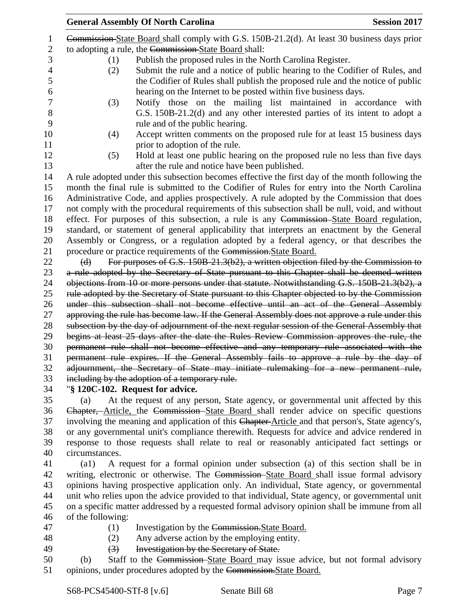|                     | <b>General Assembly Of North Carolina</b>                                                                                                                                                | <b>Session 2017</b> |  |  |
|---------------------|------------------------------------------------------------------------------------------------------------------------------------------------------------------------------------------|---------------------|--|--|
| $\mathbf{1}$        | Commission-State Board shall comply with G.S. 150B-21.2(d). At least 30 business days prior                                                                                              |                     |  |  |
| $\mathfrak{2}$      | to adopting a rule, the Commission-State Board shall:                                                                                                                                    |                     |  |  |
| 3                   | Publish the proposed rules in the North Carolina Register.<br>(1)                                                                                                                        |                     |  |  |
| $\overline{4}$<br>5 | Submit the rule and a notice of public hearing to the Codifier of Rules, and<br>(2)<br>the Codifier of Rules shall publish the proposed rule and the notice of public                    |                     |  |  |
| 6                   | hearing on the Internet to be posted within five business days.                                                                                                                          |                     |  |  |
| 7                   | Notify those on the mailing list maintained in accordance with<br>(3)                                                                                                                    |                     |  |  |
| 8                   | G.S. 150B-21.2(d) and any other interested parties of its intent to adopt a                                                                                                              |                     |  |  |
| 9                   | rule and of the public hearing.                                                                                                                                                          |                     |  |  |
| 10                  | Accept written comments on the proposed rule for at least 15 business days<br>(4)                                                                                                        |                     |  |  |
| 11                  | prior to adoption of the rule.                                                                                                                                                           |                     |  |  |
| 12                  | Hold at least one public hearing on the proposed rule no less than five days<br>(5)                                                                                                      |                     |  |  |
| 13                  | after the rule and notice have been published.                                                                                                                                           |                     |  |  |
| 14                  | A rule adopted under this subsection becomes effective the first day of the month following the                                                                                          |                     |  |  |
| 15                  | month the final rule is submitted to the Codifier of Rules for entry into the North Carolina                                                                                             |                     |  |  |
| 16                  | Administrative Code, and applies prospectively. A rule adopted by the Commission that does                                                                                               |                     |  |  |
| 17                  | not comply with the procedural requirements of this subsection shall be null, void, and without                                                                                          |                     |  |  |
| 18<br>19            | effect. For purposes of this subsection, a rule is any Commission-State Board regulation,<br>standard, or statement of general applicability that interprets an enactment by the General |                     |  |  |
| 20                  | Assembly or Congress, or a regulation adopted by a federal agency, or that describes the                                                                                                 |                     |  |  |
| 21                  | procedure or practice requirements of the Commission. State Board.                                                                                                                       |                     |  |  |
| 22                  | For purposes of G.S. 150B-21.3(b2), a written objection filed by the Commission to<br>$\Theta$                                                                                           |                     |  |  |
| 23                  | a rule adopted by the Secretary of State pursuant to this Chapter shall be deemed written                                                                                                |                     |  |  |
| 24                  | objections from 10 or more persons under that statute. Notwithstanding G.S. 150B-21.3(b2), a                                                                                             |                     |  |  |
| 25                  | rule adopted by the Secretary of State pursuant to this Chapter objected to by the Commission                                                                                            |                     |  |  |
| 26                  | under this subsection shall not become effective until an act of the General Assembly                                                                                                    |                     |  |  |
| 27                  | approving the rule has become law. If the General Assembly does not approve a rule under this                                                                                            |                     |  |  |
| 28                  | subsection by the day of adjournment of the next regular session of the General Assembly that                                                                                            |                     |  |  |
| 29                  | begins at least 25 days after the date the Rules Review Commission approves the rule, the                                                                                                |                     |  |  |
| 30                  | permanent rule shall not become effective and any temporary rule associated with the                                                                                                     |                     |  |  |
| 31                  | permanent rule expires. If the General Assembly fails to approve a rule by the day of                                                                                                    |                     |  |  |
| 32                  | adjournment, the Secretary of State may initiate rulemaking for a new permanent rule,                                                                                                    |                     |  |  |
| 33                  | including by the adoption of a temporary rule.                                                                                                                                           |                     |  |  |
| 34                  | "§ 120C-102. Request for advice.                                                                                                                                                         |                     |  |  |
| 35                  | At the request of any person, State agency, or governmental unit affected by this<br>(a)                                                                                                 |                     |  |  |

36 Chapter, Article, the Commission State Board shall render advice on specific questions 37 involving the meaning and application of this Chapter-Article and that person's, State agency's, or any governmental unit's compliance therewith. Requests for advice and advice rendered in response to those requests shall relate to real or reasonably anticipated fact settings or circumstances.

 (a1) A request for a formal opinion under subsection (a) of this section shall be in writing, electronic or otherwise. The Commission State Board shall issue formal advisory opinions having prospective application only. An individual, State agency, or governmental unit who relies upon the advice provided to that individual, State agency, or governmental unit on a specific matter addressed by a requested formal advisory opinion shall be immune from all of the following:

- 
- 
- 
- 47 (1) Investigation by the Commission. State Board.
- (2) Any adverse action by the employing entity.
- 49 (3) Investigation by the Secretary of State.
- (b) Staff to the Commission State Board may issue advice, but not formal advisory opinions, under procedures adopted by the Commission.State Board.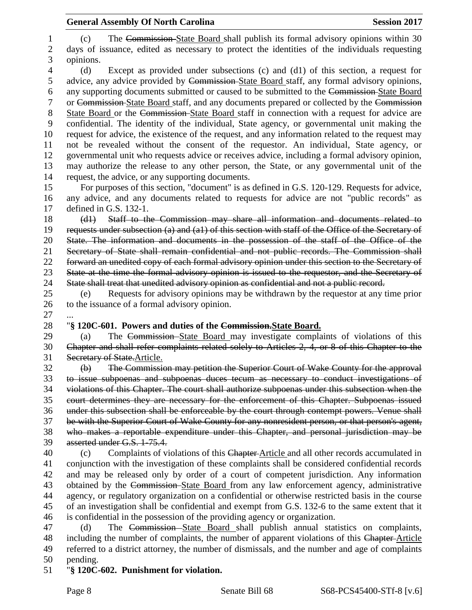(c) The Commission State Board shall publish its formal advisory opinions within 30 days of issuance, edited as necessary to protect the identities of the individuals requesting opinions. (d) Except as provided under subsections (c) and (d1) of this section, a request for advice, any advice provided by Commission State Board staff, any formal advisory opinions, any supporting documents submitted or caused to be submitted to the Commission State Board or Commission State Board staff, and any documents prepared or collected by the Commission State Board or the Commission State Board staff in connection with a request for advice are confidential. The identity of the individual, State agency, or governmental unit making the request for advice, the existence of the request, and any information related to the request may not be revealed without the consent of the requestor. An individual, State agency, or governmental unit who requests advice or receives advice, including a formal advisory opinion, may authorize the release to any other person, the State, or any governmental unit of the request, the advice, or any supporting documents. For purposes of this section, "document" is as defined in G.S. 120-129. Requests for advice, any advice, and any documents related to requests for advice are not "public records" as defined in G.S. 132-1. (d1) Staff to the Commission may share all information and documents related to requests under subsection (a) and (a1) of this section with staff of the Office of the Secretary of State. The information and documents in the possession of the staff of the Office of the Secretary of State shall remain confidential and not public records. The Commission shall forward an unedited copy of each formal advisory opinion under this section to the Secretary of State at the time the formal advisory opinion is issued to the requestor, and the Secretary of State shall treat that unedited advisory opinion as confidential and not a public record. (e) Requests for advisory opinions may be withdrawn by the requestor at any time prior to the issuance of a formal advisory opinion. "**§ 120C-601. Powers and duties of the Commission.State Board.** (a) The Commission State Board may investigate complaints of violations of this Chapter and shall refer complaints related solely to Articles 2, 4, or 8 of this Chapter to the Secretary of State.Article. (b) The Commission may petition the Superior Court of Wake County for the approval to issue subpoenas and subpoenas duces tecum as necessary to conduct investigations of violations of this Chapter. The court shall authorize subpoenas under this subsection when the court determines they are necessary for the enforcement of this Chapter. Subpoenas issued under this subsection shall be enforceable by the court through contempt powers. Venue shall be with the Superior Court of Wake County for any nonresident person, or that person's agent, who makes a reportable expenditure under this Chapter, and personal jurisdiction may be asserted under G.S. 1-75.4. (c) Complaints of violations of this Chapter Article and all other records accumulated in conjunction with the investigation of these complaints shall be considered confidential records and may be released only by order of a court of competent jurisdiction. Any information obtained by the Commission State Board from any law enforcement agency, administrative agency, or regulatory organization on a confidential or otherwise restricted basis in the course of an investigation shall be confidential and exempt from G.S. 132-6 to the same extent that it is confidential in the possession of the providing agency or organization. (d) The Commission State Board shall publish annual statistics on complaints,

48 including the number of complaints, the number of apparent violations of this Chapter-Article referred to a district attorney, the number of dismissals, and the number and age of complaints pending.

"**§ 120C-602. Punishment for violation.**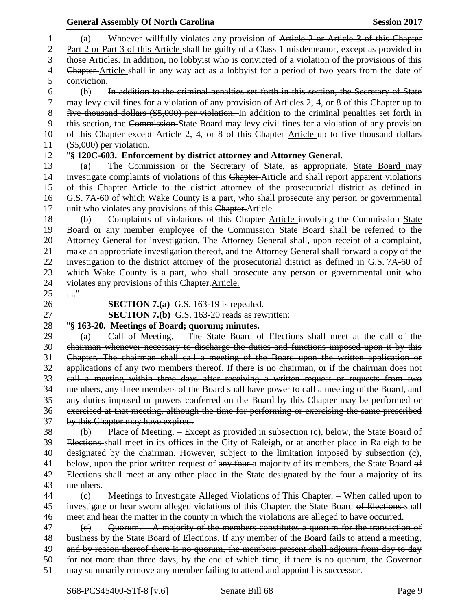|                  | <b>General Assembly Of North Carolina</b>                                                                                          | <b>Session 2017</b> |
|------------------|------------------------------------------------------------------------------------------------------------------------------------|---------------------|
| $\mathbf{1}$     | Whoever willfully violates any provision of Article 2 or Article 3 of this Chapter<br>(a)                                          |                     |
| $\overline{c}$   | Part 2 or Part 3 of this Article shall be guilty of a Class 1 misdemeanor, except as provided in                                   |                     |
| 3                | those Articles. In addition, no lobbyist who is convicted of a violation of the provisions of this                                 |                     |
| 4                | Chapter-Article shall in any way act as a lobbyist for a period of two years from the date of                                      |                     |
| 5                | conviction.                                                                                                                        |                     |
| 6                | In addition to the criminal penalties set forth in this section, the Secretary of State<br>(b)                                     |                     |
| $\boldsymbol{7}$ | may levy civil fines for a violation of any provision of Articles 2, 4, or 8 of this Chapter up to                                 |                     |
| $8\,$            | five thousand dollars (\$5,000) per violation. In addition to the criminal penalties set forth in                                  |                     |
| 9                | this section, the Commission-State Board may levy civil fines for a violation of any provision                                     |                     |
| 10               | of this Chapter except Article 2, 4, or 8 of this Chapter-Article up to five thousand dollars                                      |                     |
| 11               | $(\$5,000)$ per violation.                                                                                                         |                     |
| 12               | "§ 120C-603. Enforcement by district attorney and Attorney General.                                                                |                     |
| 13               | The Commission or the Secretary of State, as appropriate, State Board may<br>(a)                                                   |                     |
| 14               | investigate complaints of violations of this Chapter-Article and shall report apparent violations                                  |                     |
| 15               | of this Chapter-Article to the district attorney of the prosecutorial district as defined in                                       |                     |
| 16               | G.S. 7A-60 of which Wake County is a part, who shall prosecute any person or governmental                                          |                     |
| 17               | unit who violates any provisions of this Chapter. Article.                                                                         |                     |
| 18               | Complaints of violations of this Chapter-Article involving the Commission-State<br>(b)                                             |                     |
| 19               | Board or any member employee of the Commission-State Board shall be referred to the                                                |                     |
| 20               | Attorney General for investigation. The Attorney General shall, upon receipt of a complaint,                                       |                     |
| 21               | make an appropriate investigation thereof, and the Attorney General shall forward a copy of the                                    |                     |
| 22               | investigation to the district attorney of the prosecutorial district as defined in G.S. 7A-60 of                                   |                     |
| 23               | which Wake County is a part, who shall prosecute any person or governmental unit who                                               |                     |
| 24               | violates any provisions of this Chapter. Article.                                                                                  |                     |
| 25               | "                                                                                                                                  |                     |
| 26               | <b>SECTION 7.(a)</b> G.S. 163-19 is repealed.                                                                                      |                     |
| 27               | <b>SECTION 7.(b)</b> G.S. 163-20 reads as rewritten:                                                                               |                     |
| 28               | "§ 163-20. Meetings of Board; quorum; minutes.                                                                                     |                     |
| 29               | Call of Meeting. The State Board of Elections shall meet at the call of the<br>(a)                                                 |                     |
| 30               | chairman whenever necessary to discharge the duties and functions imposed upon it by this                                          |                     |
| 31               | Chapter. The chairman shall call a meeting of the Board upon the written application or                                            |                     |
| 32               | applications of any two members thereof. If there is no chairman, or if the chairman does not                                      |                     |
| 33               | call a meeting within three days after receiving a written request or requests from two                                            |                     |
| 34               | members, any three members of the Board shall have power to call a meeting of the Board, and                                       |                     |
| 35<br>36         | any duties imposed or powers conferred on the Board by this Chapter may be performed or                                            |                     |
| 37               | exercised at that meeting, although the time for performing or exercising the same prescribed<br>by this Chapter may have expired. |                     |
| 38               | Place of Meeting. – Except as provided in subsection (c), below, the State Board of<br>(b)                                         |                     |
| 39               | Elections shall meet in its offices in the City of Raleigh, or at another place in Raleigh to be                                   |                     |
| 40               | designated by the chairman. However, subject to the limitation imposed by subsection (c),                                          |                     |
| 41               | below, upon the prior written request of any four a majority of its members, the State Board of                                    |                     |
| 42               | Elections shall meet at any other place in the State designated by the four-a majority of its                                      |                     |
| 43               | members.                                                                                                                           |                     |
| 44               | Meetings to Investigate Alleged Violations of This Chapter. – When called upon to<br>(c)                                           |                     |
| 45               | investigate or hear sworn alleged violations of this Chapter, the State Board of Elections shall                                   |                     |
| 46               | meet and hear the matter in the county in which the violations are alleged to have occurred.                                       |                     |
| 47               | Quorum. - A majority of the members constitutes a quorum for the transaction of<br>(d)                                             |                     |
| 48               | business by the State Board of Elections. If any member of the Board fails to attend a meeting,                                    |                     |
| 49               | and by reason thereof there is no quorum, the members present shall adjourn from day to day                                        |                     |
| 50               | for not more than three days, by the end of which time, if there is no quorum, the Governor                                        |                     |
| 51               | may summarily remove any member failing to attend and appoint his successor.                                                       |                     |
|                  |                                                                                                                                    |                     |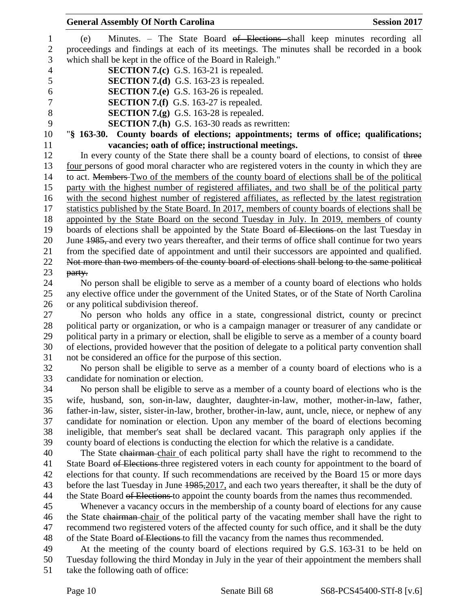| <b>General Assembly Of North Carolina</b><br><b>Session 2017</b>                                                                                                                                     |
|------------------------------------------------------------------------------------------------------------------------------------------------------------------------------------------------------|
| Minutes. – The State Board <del>of Elections s</del> hall keep minutes recording all<br>(e)                                                                                                          |
| proceedings and findings at each of its meetings. The minutes shall be recorded in a book                                                                                                            |
| which shall be kept in the office of the Board in Raleigh."                                                                                                                                          |
| <b>SECTION 7.(c)</b> G.S. 163-21 is repealed.                                                                                                                                                        |
| <b>SECTION 7.(d)</b> G.S. 163-23 is repealed.                                                                                                                                                        |
| <b>SECTION 7.(e)</b> G.S. 163-26 is repealed.                                                                                                                                                        |
| <b>SECTION 7.(f)</b> G.S. 163-27 is repealed.                                                                                                                                                        |
| <b>SECTION 7.(g)</b> G.S. 163-28 is repealed.                                                                                                                                                        |
| <b>SECTION 7.(h)</b> G.S. 163-30 reads as rewritten:                                                                                                                                                 |
| "§ 163-30. County boards of elections; appointments; terms of office; qualifications;                                                                                                                |
| vacancies; oath of office; instructional meetings.                                                                                                                                                   |
| In every county of the State there shall be a county board of elections, to consist of three                                                                                                         |
| four persons of good moral character who are registered voters in the county in which they are                                                                                                       |
| to act. Members Two of the members of the county board of elections shall be of the political                                                                                                        |
| party with the highest number of registered affiliates, and two shall be of the political party                                                                                                      |
| with the second highest number of registered affiliates, as reflected by the latest registration                                                                                                     |
| statistics published by the State Board. In 2017, members of county boards of elections shall be                                                                                                     |
| appointed by the State Board on the second Tuesday in July. In 2019, members of county                                                                                                               |
| boards of elections shall be appointed by the State Board of Elections on the last Tuesday in                                                                                                        |
| June 1985, and every two years thereafter, and their terms of office shall continue for two years                                                                                                    |
|                                                                                                                                                                                                      |
| from the specified date of appointment and until their successors are appointed and qualified.                                                                                                       |
| Not more than two members of the county board of elections shall belong to the same political                                                                                                        |
| party.                                                                                                                                                                                               |
| No person shall be eligible to serve as a member of a county board of elections who holds                                                                                                            |
| any elective office under the government of the United States, or of the State of North Carolina                                                                                                     |
| or any political subdivision thereof.                                                                                                                                                                |
| No person who holds any office in a state, congressional district, county or precinct                                                                                                                |
| political party or organization, or who is a campaign manager or treasurer of any candidate or<br>political party in a primary or election, shall be eligible to serve as a member of a county board |
|                                                                                                                                                                                                      |
| of elections, provided however that the position of delegate to a political party convention shall                                                                                                   |
| not be considered an office for the purpose of this section.                                                                                                                                         |
| No person shall be eligible to serve as a member of a county board of elections who is a                                                                                                             |
| candidate for nomination or election.                                                                                                                                                                |
| No person shall be eligible to serve as a member of a county board of elections who is the                                                                                                           |
| wife, husband, son, son-in-law, daughter, daughter-in-law, mother, mother-in-law, father,                                                                                                            |
| father-in-law, sister, sister-in-law, brother, brother-in-law, aunt, uncle, niece, or nephew of any                                                                                                  |
| candidate for nomination or election. Upon any member of the board of elections becoming                                                                                                             |
| ineligible, that member's seat shall be declared vacant. This paragraph only applies if the                                                                                                          |
| county board of elections is conducting the election for which the relative is a candidate.                                                                                                          |
| The State chairman-chair of each political party shall have the right to recommend to the                                                                                                            |
| State Board of Elections three registered voters in each county for appointment to the board of                                                                                                      |
| elections for that county. If such recommendations are received by the Board 15 or more days                                                                                                         |
| before the last Tuesday in June 1985, 2017, and each two years thereafter, it shall be the duty of                                                                                                   |
| the State Board of Elections to appoint the county boards from the names thus recommended.                                                                                                           |
| Whenever a vacancy occurs in the membership of a county board of elections for any cause                                                                                                             |
| the State chairman chair of the political party of the vacating member shall have the right to                                                                                                       |
| recommend two registered voters of the affected county for such office, and it shall be the duty                                                                                                     |
| of the State Board of Elections to fill the vacancy from the names thus recommended.                                                                                                                 |
| At the meeting of the county board of elections required by G.S. 163-31 to be held on                                                                                                                |
| Tuesday following the third Monday in July in the year of their appointment the members shall                                                                                                        |
| take the following oath of office:                                                                                                                                                                   |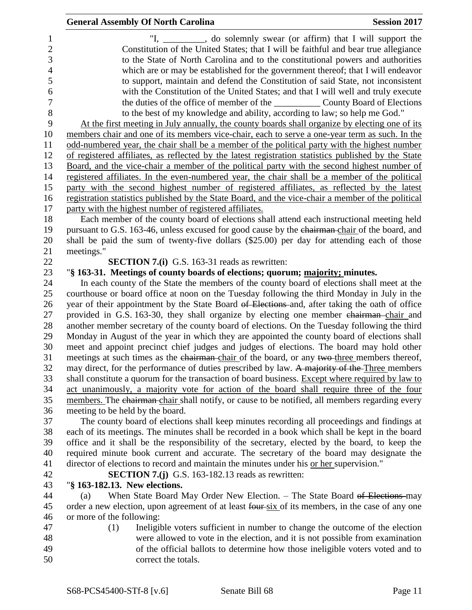|                                                      | <b>General Assembly Of North Carolina</b><br><b>Session 2017</b>                                                                                                                                                                              |
|------------------------------------------------------|-----------------------------------------------------------------------------------------------------------------------------------------------------------------------------------------------------------------------------------------------|
| 1<br>$\overline{c}$<br>3<br>$\overline{\mathcal{A}}$ | "I, ________, do solemnly swear (or affirm) that I will support the<br>Constitution of the United States; that I will be faithful and bear true allegiance<br>to the State of North Carolina and to the constitutional powers and authorities |
| 5                                                    | which are or may be established for the government thereof; that I will endeavor<br>to support, maintain and defend the Constitution of said State, not inconsistent                                                                          |
| 6                                                    | with the Constitution of the United States; and that I will well and truly execute                                                                                                                                                            |
| $\overline{7}$                                       |                                                                                                                                                                                                                                               |
| $8\,$                                                | to the best of my knowledge and ability, according to law; so help me God."                                                                                                                                                                   |
| 9                                                    | At the first meeting in July annually, the county boards shall organize by electing one of its                                                                                                                                                |
| 10<br>11                                             | members chair and one of its members vice-chair, each to serve a one-year term as such. In the<br>odd-numbered year, the chair shall be a member of the political party with the highest number                                               |
| 12                                                   | of registered affiliates, as reflected by the latest registration statistics published by the State                                                                                                                                           |
| 13                                                   | Board, and the vice-chair a member of the political party with the second highest number of                                                                                                                                                   |
| 14                                                   | registered affiliates. In the even-numbered year, the chair shall be a member of the political                                                                                                                                                |
| 15                                                   | party with the second highest number of registered affiliates, as reflected by the latest                                                                                                                                                     |
| 16                                                   | registration statistics published by the State Board, and the vice-chair a member of the political                                                                                                                                            |
| 17                                                   | party with the highest number of registered affiliates.                                                                                                                                                                                       |
| 18                                                   | Each member of the county board of elections shall attend each instructional meeting held                                                                                                                                                     |
| 19                                                   | pursuant to G.S. 163-46, unless excused for good cause by the chairman-chair of the board, and                                                                                                                                                |
| 20<br>21                                             | shall be paid the sum of twenty-five dollars (\$25.00) per day for attending each of those<br>meetings."                                                                                                                                      |
| 22                                                   | <b>SECTION 7.(i)</b> G.S. 163-31 reads as rewritten:                                                                                                                                                                                          |
| 23                                                   | "§ 163-31. Meetings of county boards of elections; quorum; majority; minutes.                                                                                                                                                                 |
| 24                                                   | In each county of the State the members of the county board of elections shall meet at the                                                                                                                                                    |
| 25                                                   | courthouse or board office at noon on the Tuesday following the third Monday in July in the                                                                                                                                                   |
| 26                                                   | year of their appointment by the State Board of Elections and, after taking the oath of office                                                                                                                                                |
| 27                                                   | provided in G.S. 163-30, they shall organize by electing one member chairman-chair and                                                                                                                                                        |
| 28                                                   | another member secretary of the county board of elections. On the Tuesday following the third                                                                                                                                                 |
| 29<br>30                                             | Monday in August of the year in which they are appointed the county board of elections shall                                                                                                                                                  |
| 31                                                   | meet and appoint precinct chief judges and judges of elections. The board may hold other<br>meetings at such times as the chairman-chair of the board, or any two-three members thereof,                                                      |
| 32                                                   | may direct, for the performance of duties prescribed by law. A majority of the Three members                                                                                                                                                  |
| 33                                                   | shall constitute a quorum for the transaction of board business. Except where required by law to                                                                                                                                              |
| 34                                                   | act unanimously, a majority vote for action of the board shall require three of the four                                                                                                                                                      |
| 35                                                   | members. The chairman chair shall notify, or cause to be notified, all members regarding every                                                                                                                                                |
| 36                                                   | meeting to be held by the board.                                                                                                                                                                                                              |
| 37                                                   | The county board of elections shall keep minutes recording all proceedings and findings at                                                                                                                                                    |
| 38                                                   | each of its meetings. The minutes shall be recorded in a book which shall be kept in the board                                                                                                                                                |
| 39<br>40                                             | office and it shall be the responsibility of the secretary, elected by the board, to keep the<br>required minute book current and accurate. The secretary of the board may designate the                                                      |
| 41                                                   | director of elections to record and maintain the minutes under his or her supervision."                                                                                                                                                       |
| 42                                                   | <b>SECTION 7.(j)</b> G.S. 163-182.13 reads as rewritten:                                                                                                                                                                                      |
| 43                                                   | "§ 163-182.13. New elections.                                                                                                                                                                                                                 |
| 44                                                   | When State Board May Order New Election. - The State Board of Elections-may<br>(a)                                                                                                                                                            |
| 45                                                   | order a new election, upon agreement of at least four six of its members, in the case of any one                                                                                                                                              |
| 46                                                   | or more of the following:                                                                                                                                                                                                                     |
| 47                                                   | (1)<br>Ineligible voters sufficient in number to change the outcome of the election                                                                                                                                                           |
| 48<br>49                                             | were allowed to vote in the election, and it is not possible from examination                                                                                                                                                                 |
| 50                                                   | of the official ballots to determine how those ineligible voters voted and to<br>correct the totals.                                                                                                                                          |
|                                                      |                                                                                                                                                                                                                                               |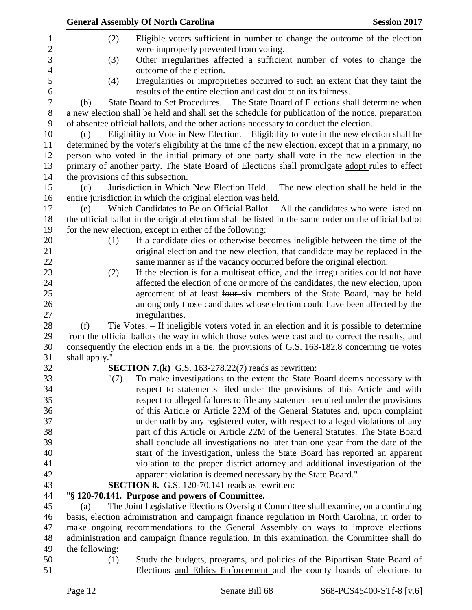|                     |                |      | <b>General Assembly Of North Carolina</b>                                                                                                                                                      | <b>Session 2017</b> |
|---------------------|----------------|------|------------------------------------------------------------------------------------------------------------------------------------------------------------------------------------------------|---------------------|
| 1<br>$\overline{2}$ |                | (2)  | Eligible voters sufficient in number to change the outcome of the election<br>were improperly prevented from voting.                                                                           |                     |
| 3<br>$\overline{4}$ |                | (3)  | Other irregularities affected a sufficient number of votes to change the<br>outcome of the election.                                                                                           |                     |
| 5<br>6              |                | (4)  | Irregularities or improprieties occurred to such an extent that they taint the<br>results of the entire election and cast doubt on its fairness.                                               |                     |
| $\overline{7}$      | (b)            |      | State Board to Set Procedures. – The State Board of Elections-shall determine when                                                                                                             |                     |
| $8\,$<br>9          |                |      | a new election shall be held and shall set the schedule for publication of the notice, preparation<br>of absentee official ballots, and the other actions necessary to conduct the election.   |                     |
| 10<br>11            | (c)            |      | Eligibility to Vote in New Election. – Eligibility to vote in the new election shall be<br>determined by the voter's eligibility at the time of the new election, except that in a primary, no |                     |
| 12                  |                |      | person who voted in the initial primary of one party shall vote in the new election in the                                                                                                     |                     |
| 13                  |                |      | primary of another party. The State Board of Elections shall promulgate adopt rules to effect                                                                                                  |                     |
| 14                  |                |      | the provisions of this subsection.                                                                                                                                                             |                     |
| 15                  | (d)            |      | Jurisdiction in Which New Election Held. – The new election shall be held in the                                                                                                               |                     |
| 16                  |                |      | entire jurisdiction in which the original election was held.                                                                                                                                   |                     |
| 17                  | (e)            |      | Which Candidates to Be on Official Ballot. $-$ All the candidates who were listed on                                                                                                           |                     |
| 18                  |                |      | the official ballot in the original election shall be listed in the same order on the official ballot                                                                                          |                     |
| 19                  |                |      | for the new election, except in either of the following:                                                                                                                                       |                     |
| 20                  |                | (1)  | If a candidate dies or otherwise becomes ineligible between the time of the                                                                                                                    |                     |
| 21                  |                |      | original election and the new election, that candidate may be replaced in the                                                                                                                  |                     |
| 22                  |                |      | same manner as if the vacancy occurred before the original election.                                                                                                                           |                     |
| 23                  |                | (2)  | If the election is for a multiseat office, and the irregularities could not have                                                                                                               |                     |
| 24                  |                |      | affected the election of one or more of the candidates, the new election, upon                                                                                                                 |                     |
| 25                  |                |      | agreement of at least four-six members of the State Board, may be held                                                                                                                         |                     |
| 26<br>27            |                |      | among only those candidates whose election could have been affected by the<br>irregularities.                                                                                                  |                     |
| 28                  | (f)            |      | Tie Votes. – If ineligible voters voted in an election and it is possible to determine                                                                                                         |                     |
| 29                  |                |      | from the official ballots the way in which those votes were cast and to correct the results, and                                                                                               |                     |
| 30                  |                |      | consequently the election ends in a tie, the provisions of G.S. 163-182.8 concerning tie votes                                                                                                 |                     |
| 31                  | shall apply."  |      |                                                                                                                                                                                                |                     |
| 32                  |                |      | <b>SECTION 7.(k)</b> G.S. 163-278.22(7) reads as rewritten:                                                                                                                                    |                     |
| 33                  |                | "(7) | To make investigations to the extent the State Board deems necessary with                                                                                                                      |                     |
| 34                  |                |      | respect to statements filed under the provisions of this Article and with                                                                                                                      |                     |
| 35                  |                |      | respect to alleged failures to file any statement required under the provisions                                                                                                                |                     |
| 36                  |                |      | of this Article or Article 22M of the General Statutes and, upon complaint                                                                                                                     |                     |
| 37                  |                |      | under oath by any registered voter, with respect to alleged violations of any                                                                                                                  |                     |
| 38                  |                |      | part of this Article or Article 22M of the General Statutes. The State Board                                                                                                                   |                     |
| 39                  |                |      | shall conclude all investigations no later than one year from the date of the                                                                                                                  |                     |
| 40                  |                |      | start of the investigation, unless the State Board has reported an apparent                                                                                                                    |                     |
| 41                  |                |      | violation to the proper district attorney and additional investigation of the                                                                                                                  |                     |
| 42                  |                |      | apparent violation is deemed necessary by the State Board."                                                                                                                                    |                     |
| 43                  |                |      | <b>SECTION 8.</b> G.S. 120-70.141 reads as rewritten:                                                                                                                                          |                     |
| 44                  |                |      | "§ 120-70.141. Purpose and powers of Committee.                                                                                                                                                |                     |
| 45                  | (a)            |      | The Joint Legislative Elections Oversight Committee shall examine, on a continuing                                                                                                             |                     |
| 46                  |                |      | basis, election administration and campaign finance regulation in North Carolina, in order to                                                                                                  |                     |
| 47                  |                |      | make ongoing recommendations to the General Assembly on ways to improve elections                                                                                                              |                     |
| 48<br>49            | the following: |      | administration and campaign finance regulation. In this examination, the Committee shall do                                                                                                    |                     |
| 50                  |                | (1)  | Study the budgets, programs, and policies of the Bipartisan State Board of                                                                                                                     |                     |
| 51                  |                |      | Elections and Ethics Enforcement and the county boards of elections to                                                                                                                         |                     |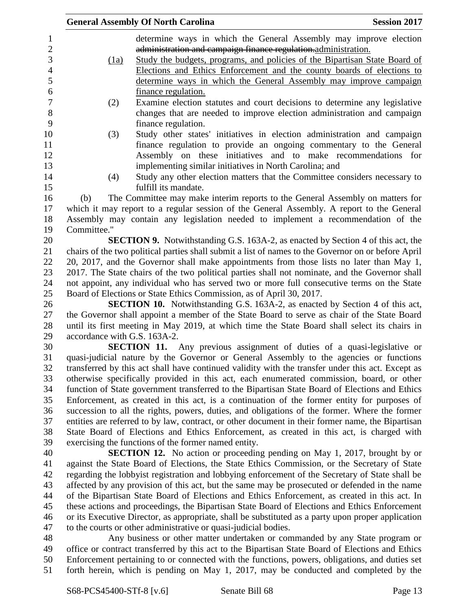|                  |                                                                                                | <b>General Assembly Of North Carolina</b>                                                           | <b>Session 2017</b> |
|------------------|------------------------------------------------------------------------------------------------|-----------------------------------------------------------------------------------------------------|---------------------|
| $\mathbf{1}$     |                                                                                                | determine ways in which the General Assembly may improve election                                   |                     |
| $\sqrt{2}$       |                                                                                                | administration and campaign finance regulation-administration.                                      |                     |
| 3                | (1a)                                                                                           | Study the budgets, programs, and policies of the Bipartisan State Board of                          |                     |
| $\overline{4}$   |                                                                                                | Elections and Ethics Enforcement and the county boards of elections to                              |                     |
| 5                |                                                                                                | determine ways in which the General Assembly may improve campaign                                   |                     |
| 6                |                                                                                                | finance regulation.                                                                                 |                     |
| $\boldsymbol{7}$ | (2)                                                                                            | Examine election statutes and court decisions to determine any legislative                          |                     |
| 8                |                                                                                                | changes that are needed to improve election administration and campaign                             |                     |
| 9                |                                                                                                | finance regulation.                                                                                 |                     |
| 10               | (3)                                                                                            | Study other states' initiatives in election administration and campaign                             |                     |
| 11               |                                                                                                | finance regulation to provide an ongoing commentary to the General                                  |                     |
| 12               |                                                                                                | Assembly on these initiatives and to make recommendations for                                       |                     |
| 13               |                                                                                                | implementing similar initiatives in North Carolina; and                                             |                     |
| 14               | (4)                                                                                            | Study any other election matters that the Committee considers necessary to                          |                     |
| 15               |                                                                                                | fulfill its mandate.                                                                                |                     |
| 16               | (b)                                                                                            | The Committee may make interim reports to the General Assembly on matters for                       |                     |
| 17               | which it may report to a regular session of the General Assembly. A report to the General      |                                                                                                     |                     |
| 18               | Assembly may contain any legislation needed to implement a recommendation of the               |                                                                                                     |                     |
| 19               | Committee."                                                                                    |                                                                                                     |                     |
| 20               |                                                                                                | <b>SECTION 9.</b> Notwithstanding G.S. 163A-2, as enacted by Section 4 of this act, the             |                     |
| 21               |                                                                                                | chairs of the two political parties shall submit a list of names to the Governor on or before April |                     |
| 22               | 20, 2017, and the Governor shall make appointments from those lists no later than May 1,       |                                                                                                     |                     |
| 23               | 2017. The State chairs of the two political parties shall not nominate, and the Governor shall |                                                                                                     |                     |
| 24               | not appoint, any individual who has served two or more full consecutive terms on the State     |                                                                                                     |                     |
| 25               | Board of Elections or State Ethics Commission, as of April 30, 2017.                           |                                                                                                     |                     |
| 26               | <b>SECTION 10.</b> Notwithstanding G.S. 163A-2, as enacted by Section 4 of this act,           |                                                                                                     |                     |
| 27               |                                                                                                | the Governor shall appoint a member of the State Board to serve as chair of the State Board         |                     |
| 28               | until its first meeting in May 2019, at which time the State Board shall select its chairs in  |                                                                                                     |                     |
| 29               | accordance with G.S. 163A-2.                                                                   |                                                                                                     |                     |
| 30               |                                                                                                | <b>SECTION 11.</b> Any previous assignment of duties of a quasi-legislative or                      |                     |
| 31               |                                                                                                | quasi-judicial nature by the Governor or General Assembly to the agencies or functions              |                     |
| 32               |                                                                                                | transferred by this act shall have continued validity with the transfer under this act. Except as   |                     |
| 33               | otherwise specifically provided in this act, each enumerated commission, board, or other       |                                                                                                     |                     |
| 34               | function of State government transferred to the Bipartisan State Board of Elections and Ethics |                                                                                                     |                     |
| 35               | Enforcement, as created in this act, is a continuation of the former entity for purposes of    |                                                                                                     |                     |
| 36               | succession to all the rights, powers, duties, and obligations of the former. Where the former  |                                                                                                     |                     |
| 37               |                                                                                                | entities are referred to by law, contract, or other document in their former name, the Bipartisan   |                     |
| 38               | State Board of Elections and Ethics Enforcement, as created in this act, is charged with       |                                                                                                     |                     |
| 39               |                                                                                                | exercising the functions of the former named entity.                                                |                     |
| 40               |                                                                                                | <b>SECTION 12.</b> No action or proceeding pending on May 1, 2017, brought by or                    |                     |
| 41               |                                                                                                | against the State Board of Elections, the State Ethics Commission, or the Secretary of State        |                     |
| 42               |                                                                                                | regarding the lobbyist registration and lobbying enforcement of the Secretary of State shall be     |                     |
| 43               |                                                                                                | affected by any provision of this act, but the same may be prosecuted or defended in the name       |                     |
| 44               |                                                                                                | of the Bipartisan State Board of Elections and Ethics Enforcement, as created in this act. In       |                     |
| 45               |                                                                                                | these actions and proceedings, the Bipartisan State Board of Elections and Ethics Enforcement       |                     |
| 46               |                                                                                                | or its Executive Director, as appropriate, shall be substituted as a party upon proper application  |                     |
| 47               |                                                                                                | to the courts or other administrative or quasi-judicial bodies.                                     |                     |
| 48               |                                                                                                | Any business or other matter undertaken or commanded by any State program or                        |                     |
| 49               |                                                                                                | office or contract transferred by this act to the Bipartisan State Board of Elections and Ethics    |                     |
| 50               |                                                                                                | Enforcement pertaining to or connected with the functions, powers, obligations, and duties set      |                     |
| 51               |                                                                                                | forth herein, which is pending on May 1, 2017, may be conducted and completed by the                |                     |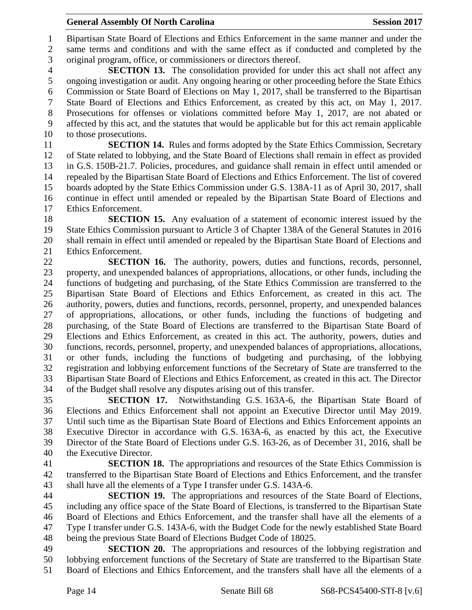Bipartisan State Board of Elections and Ethics Enforcement in the same manner and under the same terms and conditions and with the same effect as if conducted and completed by the original program, office, or commissioners or directors thereof.

 **SECTION 13.** The consolidation provided for under this act shall not affect any ongoing investigation or audit. Any ongoing hearing or other proceeding before the State Ethics Commission or State Board of Elections on May 1, 2017, shall be transferred to the Bipartisan State Board of Elections and Ethics Enforcement, as created by this act, on May 1, 2017. Prosecutions for offenses or violations committed before May 1, 2017, are not abated or affected by this act, and the statutes that would be applicable but for this act remain applicable to those prosecutions.

 **SECTION 14.** Rules and forms adopted by the State Ethics Commission, Secretary of State related to lobbying, and the State Board of Elections shall remain in effect as provided in G.S. 150B-21.7. Policies, procedures, and guidance shall remain in effect until amended or repealed by the Bipartisan State Board of Elections and Ethics Enforcement. The list of covered boards adopted by the State Ethics Commission under G.S. 138A-11 as of April 30, 2017, shall continue in effect until amended or repealed by the Bipartisan State Board of Elections and Ethics Enforcement.

 **SECTION 15.** Any evaluation of a statement of economic interest issued by the State Ethics Commission pursuant to Article 3 of Chapter 138A of the General Statutes in 2016 shall remain in effect until amended or repealed by the Bipartisan State Board of Elections and Ethics Enforcement.

 **SECTION 16.** The authority, powers, duties and functions, records, personnel, property, and unexpended balances of appropriations, allocations, or other funds, including the functions of budgeting and purchasing, of the State Ethics Commission are transferred to the Bipartisan State Board of Elections and Ethics Enforcement, as created in this act. The authority, powers, duties and functions, records, personnel, property, and unexpended balances of appropriations, allocations, or other funds, including the functions of budgeting and purchasing, of the State Board of Elections are transferred to the Bipartisan State Board of Elections and Ethics Enforcement, as created in this act. The authority, powers, duties and functions, records, personnel, property, and unexpended balances of appropriations, allocations, or other funds, including the functions of budgeting and purchasing, of the lobbying registration and lobbying enforcement functions of the Secretary of State are transferred to the Bipartisan State Board of Elections and Ethics Enforcement, as created in this act. The Director of the Budget shall resolve any disputes arising out of this transfer.

 **SECTION 17.** Notwithstanding G.S. 163A-6, the Bipartisan State Board of Elections and Ethics Enforcement shall not appoint an Executive Director until May 2019. Until such time as the Bipartisan State Board of Elections and Ethics Enforcement appoints an Executive Director in accordance with G.S. 163A-6, as enacted by this act, the Executive Director of the State Board of Elections under G.S. 163-26, as of December 31, 2016, shall be the Executive Director.

 **SECTION 18.** The appropriations and resources of the State Ethics Commission is transferred to the Bipartisan State Board of Elections and Ethics Enforcement, and the transfer shall have all the elements of a Type I transfer under G.S. 143A-6.

 **SECTION 19.** The appropriations and resources of the State Board of Elections, including any office space of the State Board of Elections, is transferred to the Bipartisan State Board of Elections and Ethics Enforcement, and the transfer shall have all the elements of a Type I transfer under G.S. 143A-6, with the Budget Code for the newly established State Board being the previous State Board of Elections Budget Code of 18025.

 **SECTION 20.** The appropriations and resources of the lobbying registration and lobbying enforcement functions of the Secretary of State are transferred to the Bipartisan State Board of Elections and Ethics Enforcement, and the transfers shall have all the elements of a